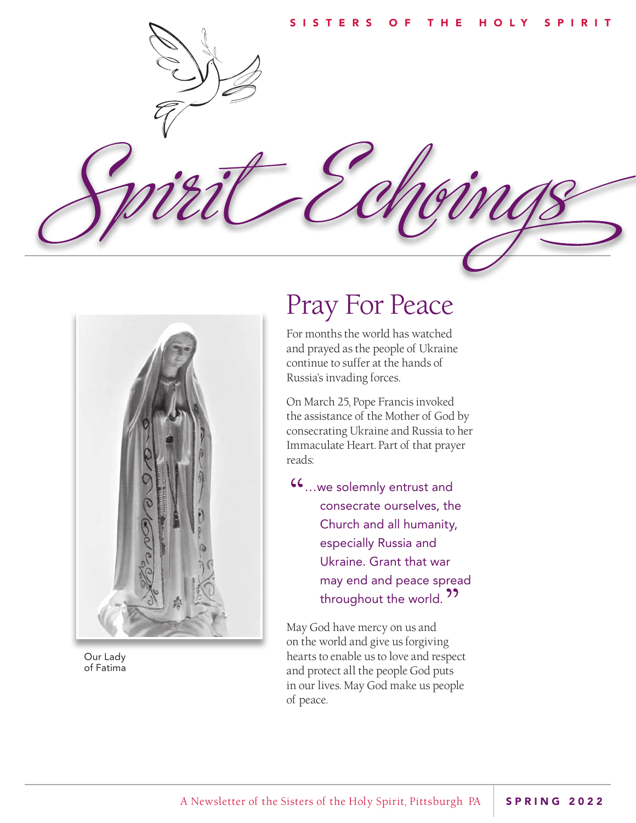

Our Lady of Fatima

## Pray For Peace

For months the world has watched and prayed as the people of Ukraine continue to suffer at the hands of Russia's invading forces.

On March 25, Pope Francis invoked the assistance of the Mother of God by consecrating Ukraine and Russia to her Immaculate Heart. Part of that prayer reads:

**46**...we solemnly entrust and<br>consecrate ourselves, the consecrate ourselves, the Church and all humanity, especially Russia and Ukraine. Grant that war may end and peace spread throughout the world. **"**

May God have mercy on us and on the world and give us forgiving hearts to enable us to love and respect and protect all the people God puts in our lives. May God make us people of peace.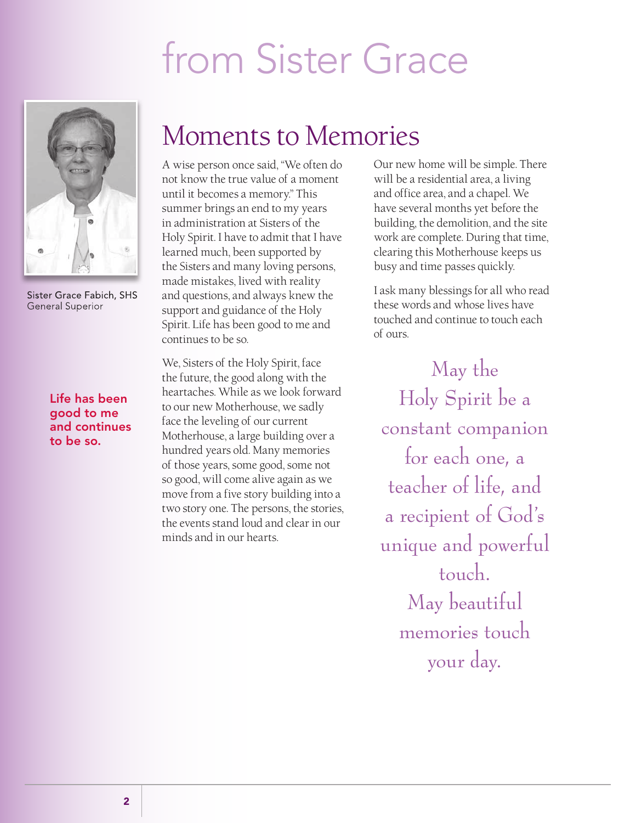# from Sister Grace



Sister Grace Fabich, SHS General Superior

#### Life has been good to me and continues to be so.

## Moments to Memories

A wise person once said, "We often do not know the true value of a moment until it becomes a memory." This summer brings an end to my years in administration at Sisters of the Holy Spirit. I have to admit that I have learned much, been supported by the Sisters and many loving persons, made mistakes, lived with reality and questions, and always knew the support and guidance of the Holy Spirit. Life has been good to me and continues to be so.

We, Sisters of the Holy Spirit, face the future, the good along with the heartaches. While as we look forward to our new Motherhouse, we sadly face the leveling of our current Motherhouse, a large building over a hundred years old. Many memories of those years, some good, some not so good, will come alive again as we move from a five story building into a two story one. The persons, the stories, the events stand loud and clear in our minds and in our hearts.

Our new home will be simple. There will be a residential area, a living and office area, and a chapel. We have several months yet before the building, the demolition, and the site work are complete. During that time, clearing this Motherhouse keeps us busy and time passes quickly.

I ask many blessings for all who read these words and whose lives have touched and continue to touch each of ours.

May the Holy Spirit be a constant companion for each one, a teacher of life, and a recipient of God's unique and powerful touch. May beautiful memories touch your day.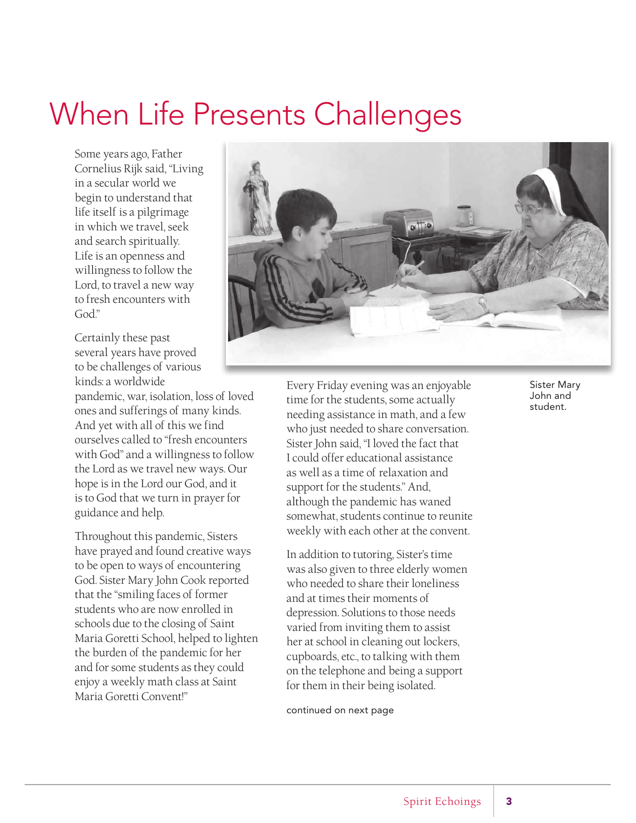## When Life Presents Challenges

Some years ago, Father Cornelius Rijk said, "Living in a secular world we begin to understand that life itself is a pilgrimage in which we travel, seek and search spiritually. Life is an openness and willingness to follow the Lord, to travel a new way to fresh encounters with God."

Certainly these past several years have proved to be challenges of various kinds: a worldwide

pandemic, war, isolation, loss of loved ones and sufferings of many kinds. And yet with all of this we find ourselves called to "fresh encounters with God" and a willingness to follow the Lord as we travel new ways. Our hope is in the Lord our God, and it is to God that we turn in prayer for guidance and help.

Throughout this pandemic, Sisters have prayed and found creative ways to be open to ways of encountering God. Sister Mary John Cook reported that the "smiling faces of former students who are now enrolled in schools due to the closing of Saint Maria Goretti School, helped to lighten the burden of the pandemic for her and for some students as they could enjoy a weekly math class at Saint Maria Goretti Convent!"



Every Friday evening was an enjoyable time for the students, some actually needing assistance in math, and a few who just needed to share conversation. Sister John said, "I loved the fact that I could offer educational assistance as well as a time of relaxation and support for the students." And, although the pandemic has waned somewhat, students continue to reunite weekly with each other at the convent.

In addition to tutoring, Sister's time was also given to three elderly women who needed to share their loneliness and at times their moments of depression. Solutions to those needs varied from inviting them to assist her at school in cleaning out lockers, cupboards, etc., to talking with them on the telephone and being a support for them in their being isolated.

continued on next page

Sister Mary John and student.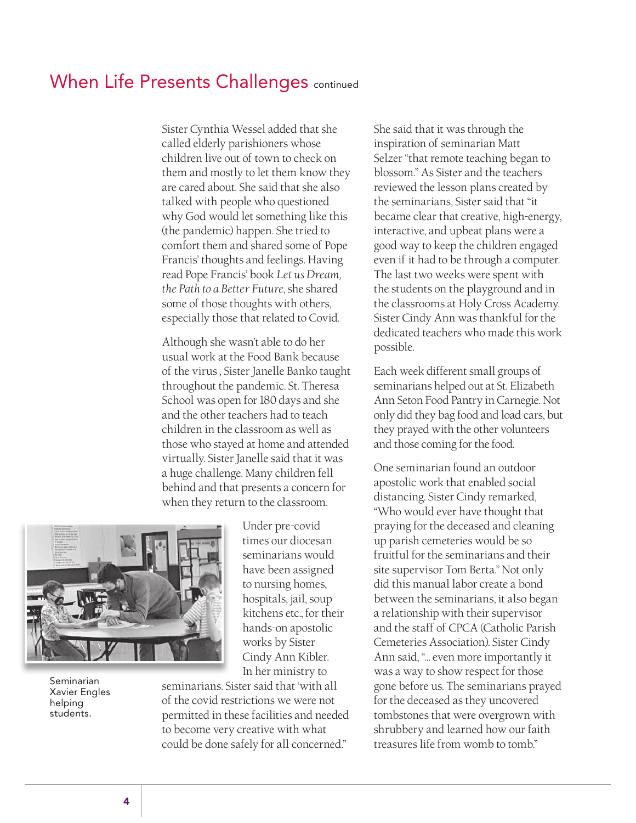#### When Life Presents Challenges continued

Sister Cynthia Wessel added that she called elderly parishioners whose children live out of town to check on them and mostly to let them know they are cared about. She said that she also talked with people who questioned why God would let something like this (the pandemic) happen. She tried to comfort them and shared some of Pope Francis' thoughts and feelings. Having read Pope Francis' book *Let us Dream, the Path to a Better Future*, she shared some of those thoughts with others, especially those that related to Covid.

Although she wasn't able to do her usual work at the Food Bank because of the virus , Sister Janelle Banko taught throughout the pandemic. St. Theresa School was open for 180 days and she and the other teachers had to teach children in the classroom as well as those who stayed at home and attended virtually. Sister Janelle said that it was a huge challenge. Many children fell behind and that presents a concern for when they return to the classroom.



Seminarian Xavier Engles helping students.

Under pre-covid times our diocesan seminarians would have been assigned to nursing homes, hospitals, jail, soup kitchens etc., for their hands-on apostolic works by Sister Cindy Ann Kibler. In her ministry to

seminarians. Sister said that 'with all of the covid restrictions we were not permitted in these facilities and needed to become very creative with what could be done safely for all concerned."

She said that it was through the inspiration of seminarian Matt Selzer "that remote teaching began to blossom." As Sister and the teachers reviewed the lesson plans created by the seminarians, Sister said that "it became clear that creative, high-energy, interactive, and upbeat plans were a good way to keep the children engaged even if it had to be through a computer. The last two weeks were spent with the students on the playground and in the classrooms at Holy Cross Academy. Sister Cindy Ann was thankful for the dedicated teachers who made this work possible.

Each week different small groups of seminarians helped out at St. Elizabeth Ann Seton Food Pantry in Carnegie. Not only did they bag food and load cars, but they prayed with the other volunteers and those coming for the food.

One seminarian found an outdoor apostolic work that enabled social distancing. Sister Cindy remarked, "Who would ever have thought that praying for the deceased and cleaning up parish cemeteries would be so fruitful for the seminarians and their site supervisor Tom Berta." Not only did this manual labor create a bond between the seminarians, it also began a relationship with their supervisor and the staff of CPCA (Catholic Parish Cemeteries Association). Sister Cindy Ann said, "… even more importantly it was a way to show respect for those gone before us. The seminarians prayed for the deceased as they uncovered tombstones that were overgrown with shrubbery and learned how our faith treasures life from womb to tomb."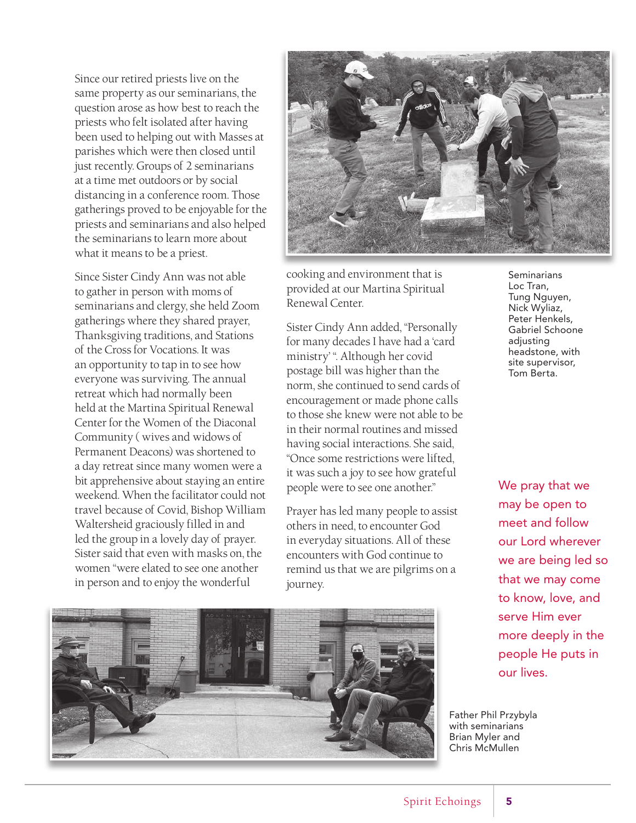Since our retired priests live on the same property as our seminarians, the question arose as how best to reach the priests who felt isolated after having been used to helping out with Masses at parishes which were then closed until just recently. Groups of 2 seminarians at a time met outdoors or by social distancing in a conference room. Those gatherings proved to be enjoyable for the priests and seminarians and also helped the seminarians to learn more about what it means to be a priest.

Since Sister Cindy Ann was not able to gather in person with moms of seminarians and clergy, she held Zoom gatherings where they shared prayer, Thanksgiving traditions, and Stations of the Cross for Vocations. It was an opportunity to tap in to see how everyone was surviving. The annual retreat which had normally been held at the Martina Spiritual Renewal Center for the Women of the Diaconal Community ( wives and widows of Permanent Deacons) was shortened to a day retreat since many women were a bit apprehensive about staying an entire weekend. When the facilitator could not travel because of Covid, Bishop William Waltersheid graciously filled in and led the group in a lovely day of prayer. Sister said that even with masks on, the women "were elated to see one another in person and to enjoy the wonderful



cooking and environment that is provided at our Martina Spiritual Renewal Center.

Sister Cindy Ann added, "Personally for many decades I have had a 'card ministry' ". Although her covid postage bill was higher than the norm, she continued to send cards of encouragement or made phone calls to those she knew were not able to be in their normal routines and missed having social interactions. She said, "Once some restrictions were lifted, it was such a joy to see how grateful people were to see one another."

Prayer has led many people to assist others in need, to encounter God in everyday situations. All of these encounters with God continue to remind us that we are pilgrims on a journey.

Seminarians Loc Tran, Tung Nguyen, Nick Wyliaz, Peter Henkels, Gabriel Schoone adjusting headstone, with site supervisor, Tom Berta.

We pray that we may be open to meet and follow our Lord wherever we are being led so that we may come to know, love, and serve Him ever more deeply in the people He puts in our lives.

Father Phil Przybyla with seminarians Brian Myler and Chris McMullen

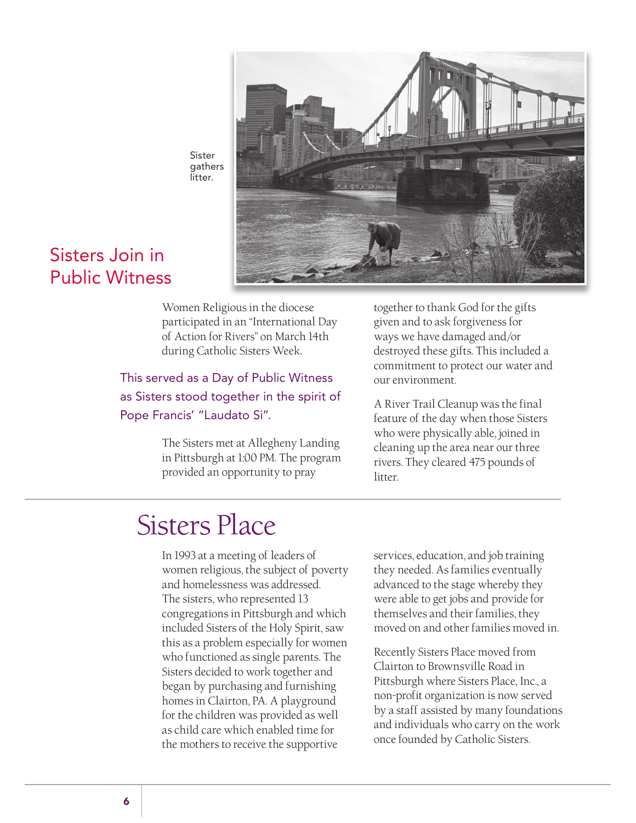

Sister gathers litter.

### Sisters Join in Public Witness

Women Religious in the diocese participated in an "International Day of Action for Rivers" on March 14th during Catholic Sisters Week.

This served as a Day of Public Witness as Sisters stood together in the spirit of Pope Francis' "Laudato Si".

> The Sisters met at Allegheny Landing in Pittsburgh at 1:00 PM. The program provided an opportunity to pray

together to thank God for the gifts given and to ask forgiveness for ways we have damaged and/or destroyed these gifts. This included a commitment to protect our water and our environment.

A River Trail Cleanup was the final feature of the day when those Sisters who were physically able, joined in cleaning up the area near our three rivers. They cleared 475 pounds of litter.

## Sisters Place

In 1993 at a meeting of leaders of women religious, the subject of poverty and homelessness was addressed. The sisters, who represented 13 congregations in Pittsburgh and which included Sisters of the Holy Spirit, saw this as a problem especially for women who functioned as single parents. The Sisters decided to work together and began by purchasing and furnishing homes in Clairton, PA. A playground for the children was provided as well as child care which enabled time for the mothers to receive the supportive

services, education, and job training they needed. As families eventually advanced to the stage whereby they were able to get jobs and provide for themselves and their families, they moved on and other families moved in.

Recently Sisters Place moved from Clairton to Brownsville Road in Pittsburgh where Sisters Place, Inc., a non-profit organization is now served by a staff assisted by many foundations and individuals who carry on the work once founded by Catholic Sisters.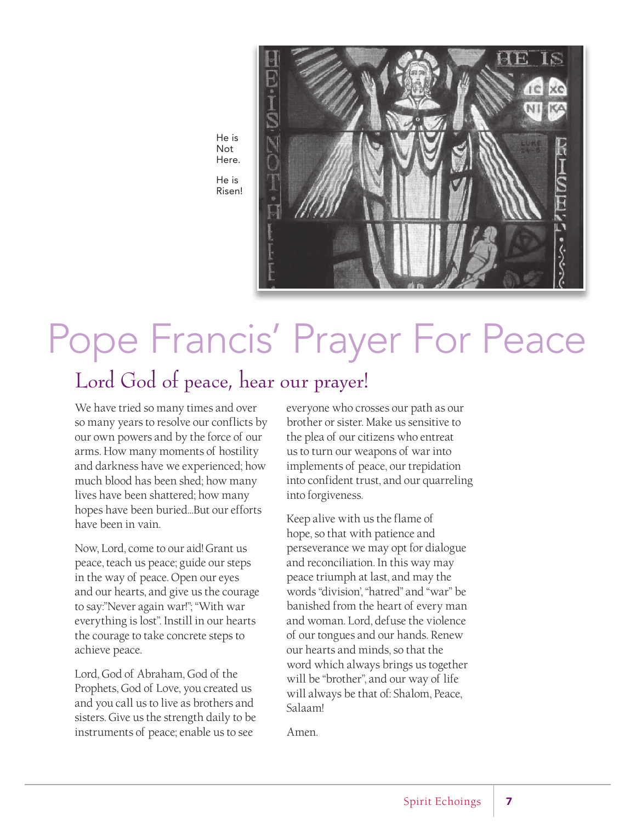

Pope Francis' Prayer For Peace Lord God of peace, hear our prayer!

We have tried so many times and over so many years to resolve our conflicts by our own powers and by the force of our arms. How many moments of hostility and darkness have we experienced; how much blood has been shed; how many lives have been shattered; how many hopes have been buried…But our efforts have been in vain.

Now, Lord, come to our aid! Grant us peace, teach us peace; guide our steps in the way of peace. Open our eyes and our hearts, and give us the courage to say:"Never again war!"; "With war everything is lost". Instill in our hearts the courage to take concrete steps to achieve peace.

Lord, God of Abraham, God of the Prophets, God of Love, you created us and you call us to live as brothers and sisters. Give us the strength daily to be instruments of peace; enable us to see

everyone who crosses our path as our brother or sister. Make us sensitive to the plea of our citizens who entreat us to turn our weapons of war into implements of peace, our trepidation into confident trust, and our quarreling into forgiveness.

Keep alive with us the flame of hope, so that with patience and perseverance we may opt for dialogue and reconciliation. In this way may peace triumph at last, and may the words "division', "hatred" and "war" be banished from the heart of every man and woman. Lord, defuse the violence of our tongues and our hands. Renew our hearts and minds, so that the word which always brings us together will be "brother", and our way of life will always be that of: Shalom, Peace, Salaam!

Amen.